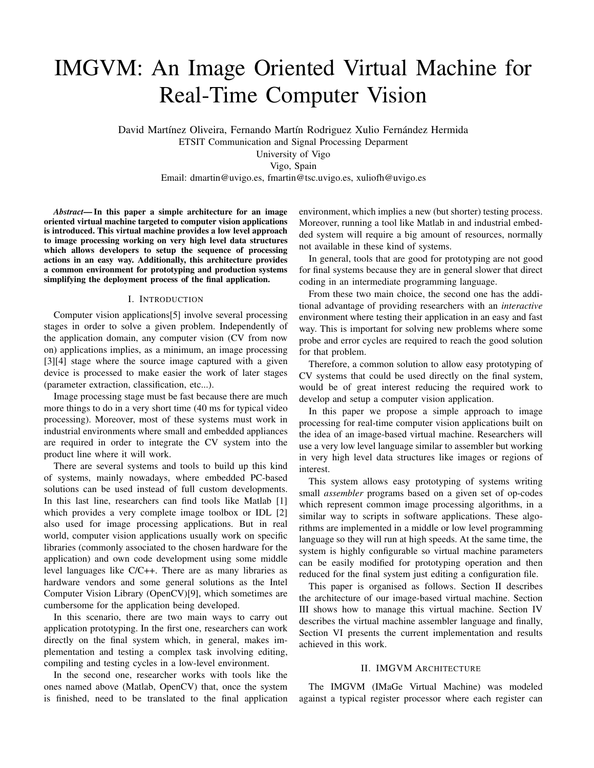# IMGVM: An Image Oriented Virtual Machine for Real-Time Computer Vision

David Martínez Oliveira, Fernando Martín Rodriguez Xulio Fernández Hermida ETSIT Communication and Signal Processing Deparment

University of Vigo

Vigo, Spain

Email: dmartin@uvigo.es, fmartin@tsc.uvigo.es, xuliofh@uvigo.es

*Abstract***— In this paper a simple architecture for an image oriented virtual machine targeted to computer vision applications is introduced. This virtual machine provides a low level approach to image processing working on very high level data structures which allows developers to setup the sequence of processing actions in an easy way. Additionally, this architecture provides a common environment for prototyping and production systems simplifying the deployment process of the final application.**

# I. INTRODUCTION

Computer vision applications[5] involve several processing stages in order to solve a given problem. Independently of the application domain, any computer vision (CV from now on) applications implies, as a minimum, an image processing [3][4] stage where the source image captured with a given device is processed to make easier the work of later stages (parameter extraction, classification, etc...).

Image processing stage must be fast because there are much more things to do in a very short time (40 ms for typical video processing). Moreover, most of these systems must work in industrial environments where small and embedded appliances are required in order to integrate the CV system into the product line where it will work.

There are several systems and tools to build up this kind of systems, mainly nowadays, where embedded PC-based solutions can be used instead of full custom developments. In this last line, researchers can find tools like Matlab [1] which provides a very complete image toolbox or IDL [2] also used for image processing applications. But in real world, computer vision applications usually work on specific libraries (commonly associated to the chosen hardware for the application) and own code development using some middle level languages like C/C++. There are as many libraries as hardware vendors and some general solutions as the Intel Computer Vision Library (OpenCV)[9], which sometimes are cumbersome for the application being developed.

In this scenario, there are two main ways to carry out application prototyping. In the first one, researchers can work directly on the final system which, in general, makes implementation and testing a complex task involving editing, compiling and testing cycles in a low-level environment.

In the second one, researcher works with tools like the ones named above (Matlab, OpenCV) that, once the system is finished, need to be translated to the final application environment, which implies a new (but shorter) testing process. Moreover, running a tool like Matlab in and industrial embedded system will require a big amount of resources, normally not available in these kind of systems.

In general, tools that are good for prototyping are not good for final systems because they are in general slower that direct coding in an intermediate programming language.

From these two main choice, the second one has the additional advantage of providing researchers with an *interactive* environment where testing their application in an easy and fast way. This is important for solving new problems where some probe and error cycles are required to reach the good solution for that problem.

Therefore, a common solution to allow easy prototyping of CV systems that could be used directly on the final system, would be of great interest reducing the required work to develop and setup a computer vision application.

In this paper we propose a simple approach to image processing for real-time computer vision applications built on the idea of an image-based virtual machine. Researchers will use a very low level language similar to assembler but working in very high level data structures like images or regions of interest.

This system allows easy prototyping of systems writing small *assembler* programs based on a given set of op-codes which represent common image processing algorithms, in a similar way to scripts in software applications. These algorithms are implemented in a middle or low level programming language so they will run at high speeds. At the same time, the system is highly configurable so virtual machine parameters can be easily modified for prototyping operation and then reduced for the final system just editing a configuration file.

This paper is organised as follows. Section II describes the architecture of our image-based virtual machine. Section III shows how to manage this virtual machine. Section IV describes the virtual machine assembler language and finally, Section VI presents the current implementation and results achieved in this work.

#### II. IMGVM ARCHITECTURE

The IMGVM (IMaGe Virtual Machine) was modeled against a typical register processor where each register can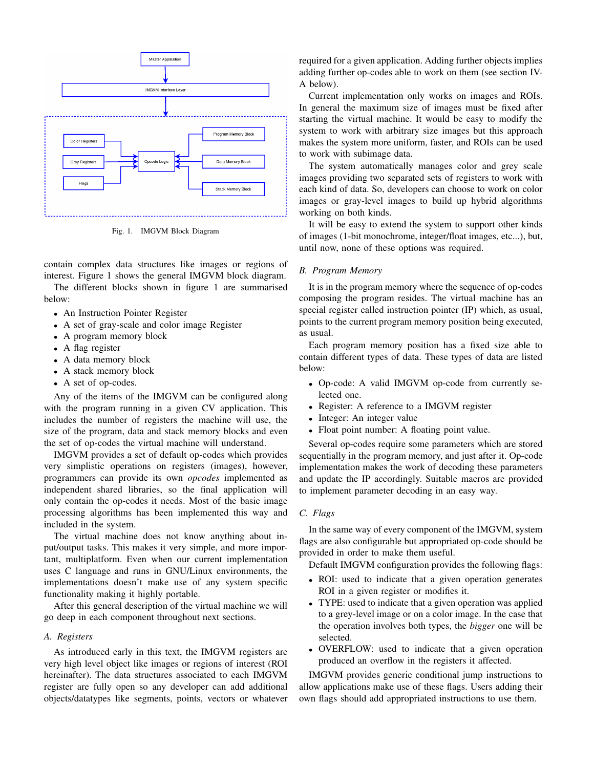

Fig. 1. IMGVM Block Diagram

contain complex data structures like images or regions of interest. Figure 1 shows the general IMGVM block diagram.

The different blocks shown in figure 1 are summarised below:

- *•* An Instruction Pointer Register
- *•* A set of gray-scale and color image Register
- *•* A program memory block
- *•* A flag register
- *•* A data memory block
- *•* A stack memory block
- *•* A set of op-codes.

Any of the items of the IMGVM can be configured along with the program running in a given CV application. This includes the number of registers the machine will use, the size of the program, data and stack memory blocks and even the set of op-codes the virtual machine will understand.

IMGVM provides a set of default op-codes which provides very simplistic operations on registers (images), however, programmers can provide its own *opcodes* implemented as independent shared libraries, so the final application will only contain the op-codes it needs. Most of the basic image processing algorithms has been implemented this way and included in the system.

The virtual machine does not know anything about input/output tasks. This makes it very simple, and more important, multiplatform. Even when our current implementation uses C language and runs in GNU/Linux environments, the implementations doesn't make use of any system specific functionality making it highly portable.

After this general description of the virtual machine we will go deep in each component throughout next sections.

#### *A. Registers*

As introduced early in this text, the IMGVM registers are very high level object like images or regions of interest (ROI hereinafter). The data structures associated to each IMGVM register are fully open so any developer can add additional objects/datatypes like segments, points, vectors or whatever required for a given application. Adding further objects implies adding further op-codes able to work on them (see section IV-A below).

Current implementation only works on images and ROIs. In general the maximum size of images must be fixed after starting the virtual machine. It would be easy to modify the system to work with arbitrary size images but this approach makes the system more uniform, faster, and ROIs can be used to work with subimage data.

The system automatically manages color and grey scale images providing two separated sets of registers to work with each kind of data. So, developers can choose to work on color images or gray-level images to build up hybrid algorithms working on both kinds.

It will be easy to extend the system to support other kinds of images (1-bit monochrome, integer/float images, etc...), but, until now, none of these options was required.

## *B. Program Memory*

It is in the program memory where the sequence of op-codes composing the program resides. The virtual machine has an special register called instruction pointer (IP) which, as usual, points to the current program memory position being executed, as usual.

Each program memory position has a fixed size able to contain different types of data. These types of data are listed below:

- *•* Op-code: A valid IMGVM op-code from currently selected one.
- *•* Register: A reference to a IMGVM register
- *•* Integer: An integer value
- Float point number: A floating point value.

Several op-codes require some parameters which are stored sequentially in the program memory, and just after it. Op-code implementation makes the work of decoding these parameters and update the IP accordingly. Suitable macros are provided to implement parameter decoding in an easy way.

#### *C. Flags*

In the same way of every component of the IMGVM, system flags are also configurable but appropriated op-code should be provided in order to make them useful.

Default IMGVM configuration provides the following flags:

- *•* ROI: used to indicate that a given operation generates ROI in a given register or modifies it.
- *•* TYPE: used to indicate that a given operation was applied to a grey-level image or on a color image. In the case that the operation involves both types, the *bigger* one will be selected.
- *•* OVERFLOW: used to indicate that a given operation produced an overflow in the registers it affected.

IMGVM provides generic conditional jump instructions to allow applications make use of these flags. Users adding their own flags should add appropriated instructions to use them.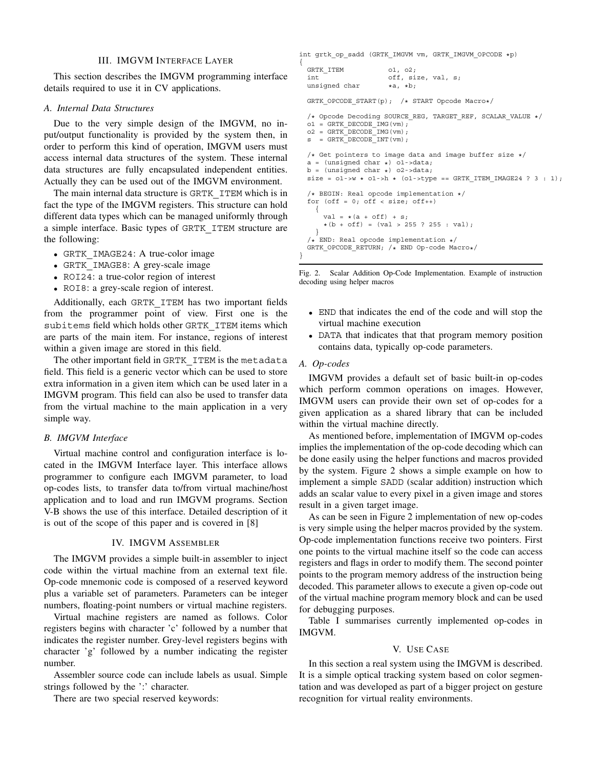#### III. IMGVM INTERFACE LAYER

This section describes the IMGVM programming interface details required to use it in CV applications.

#### *A. Internal Data Structures*

Due to the very simple design of the IMGVM, no input/output functionality is provided by the system then, in order to perform this kind of operation, IMGVM users must access internal data structures of the system. These internal data structures are fully encapsulated independent entities. Actually they can be used out of the IMGVM environment.

The main internal data structure is GRTK\_ITEM which is in fact the type of the IMGVM registers. This structure can hold different data types which can be managed uniformly through a simple interface. Basic types of GRTK\_ITEM structure are the following:

- GRTK IMAGE24: A true-color image
- *•* GRTK\_IMAGE8: A grey-scale image
- *•* ROI24: a true-color region of interest
- *•* ROI8: a grey-scale region of interest.

Additionally, each GRTK\_ITEM has two important fields from the programmer point of view. First one is the subitems field which holds other GRTK\_ITEM items which are parts of the main item. For instance, regions of interest within a given image are stored in this field.

The other important field in GRTK ITEM is the metadata field. This field is a generic vector which can be used to store extra information in a given item which can be used later in a IMGVM program. This field can also be used to transfer data from the virtual machine to the main application in a very simple way.

# *B. IMGVM Interface*

Virtual machine control and configuration interface is located in the IMGVM Interface layer. This interface allows programmer to configure each IMGVM parameter, to load op-codes lists, to transfer data to/from virtual machine/host application and to load and run IMGVM programs. Section V-B shows the use of this interface. Detailed description of it is out of the scope of this paper and is covered in [8]

### IV. IMGVM ASSEMBLER

The IMGVM provides a simple built-in assembler to inject code within the virtual machine from an external text file. Op-code mnemonic code is composed of a reserved keyword plus a variable set of parameters. Parameters can be integer numbers, floating-point numbers or virtual machine registers.

Virtual machine registers are named as follows. Color registers begins with character 'c' followed by a number that indicates the register number. Grey-level registers begins with character 'g' followed by a number indicating the register number.

Assembler source code can include labels as usual. Simple strings followed by the ':' character.

There are two special reserved keywords:

| int grtk op sadd (GRTK IMGVM vm, GRTK IMGVM OPCODE *p)<br>3                                                                                                                                                         |
|---------------------------------------------------------------------------------------------------------------------------------------------------------------------------------------------------------------------|
| 01, 02;<br>GRTK ITEM<br>int.<br>off, size, val, s;<br>unsigned char $\star$ a, $\star$ b;                                                                                                                           |
| GRTK OPCODE START(p); /* START Opcode Macro*/                                                                                                                                                                       |
| $/*$ Opcode Decoding SOURCE REG, TARGET REF, SCALAR VALUE $*/$<br>$ol = GRTK$ DECODE IMG (vm) ;<br>$o2 = GRTK DECODE IMG(vm);$<br>$s = GRTK DECODE INT (vm);$                                                       |
| /* Get pointers to image data and image buffer size $*/$<br>$a = (unsigned char *) 01 - > data;$<br>$b = (unsigned char *)$ o2->data;<br>$size = 01 - > w * 01 - > h * (01 - > type == GRTK ITEM IMAGE24 ? 3 : 1);$ |
| $/*$ BEGIN: Real opcode implementation $*/$<br>for $(off = 0; off < size; off++)$<br>val = $*(a + off) + s;$<br>$*(b + off) = (val > 255 ? 255 : val);$                                                             |
| ₹<br>$/*$ END: Real opcode implementation $*/$<br>GRTK OPCODE RETURN; /* END Op-code Macro*/                                                                                                                        |

Fig. 2. Scalar Addition Op-Code Implementation. Example of instruction decoding using helper macros

- *•* END that indicates the end of the code and will stop the virtual machine execution
- *•* DATA that indicates that that program memory position contains data, typically op-code parameters.

# *A. Op-codes*

}

IMGVM provides a default set of basic built-in op-codes which perform common operations on images. However, IMGVM users can provide their own set of op-codes for a given application as a shared library that can be included within the virtual machine directly.

As mentioned before, implementation of IMGVM op-codes implies the implementation of the op-code decoding which can be done easily using the helper functions and macros provided by the system. Figure 2 shows a simple example on how to implement a simple SADD (scalar addition) instruction which adds an scalar value to every pixel in a given image and stores result in a given target image.

As can be seen in Figure 2 implementation of new op-codes is very simple using the helper macros provided by the system. Op-code implementation functions receive two pointers. First one points to the virtual machine itself so the code can access registers and flags in order to modify them. The second pointer points to the program memory address of the instruction being decoded. This parameter allows to execute a given op-code out of the virtual machine program memory block and can be used for debugging purposes.

Table I summarises currently implemented op-codes in IMGVM.

### V. USE CASE

In this section a real system using the IMGVM is described. It is a simple optical tracking system based on color segmentation and was developed as part of a bigger project on gesture recognition for virtual reality environments.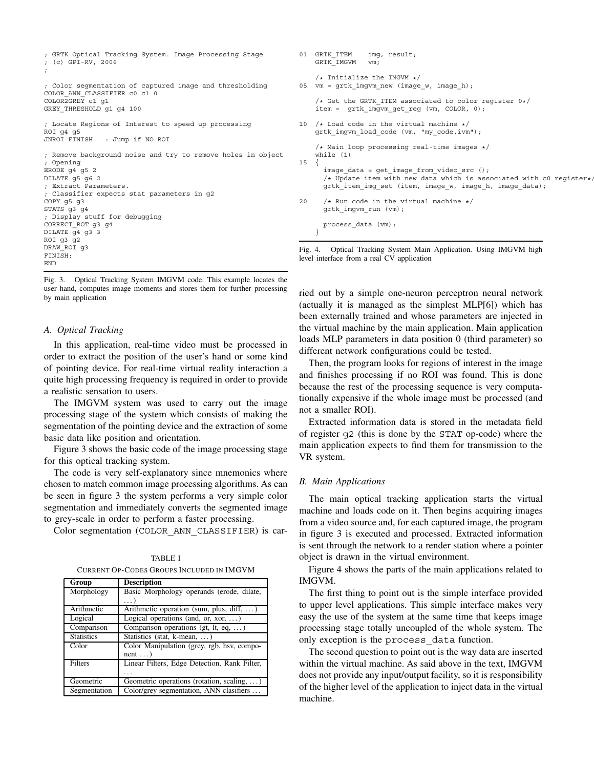```
; GRTK Optical Tracking System. Image Processing Stage
; (c) GPT-RV, 2006
;
; Color segmentation of captured image and thresholding
COLOR_ANN_CLASSIFIER c0 c1 0
\overline{\text{COLOR2GREF}} c1 g1
GREY_THRESHOLD g1 g4 100
 Locate Regions of Interest to speed up processing
ROI g4 g5
JNROI FINISH : Jump if NO ROI
; Remove background noise and try to remove holes in object
 Opening
ERODE g4 g5 2
DILATE g5 g6 2
; Extract Parameters.
; Classifier expects stat parameters in g2
COPY g5 g3
STATS g3 g4
; Display stuff for debugging
CORRECT_ROT g3 g4
DILATE g4 g3 3
ROI g3 g2
DRAW_ROI g3
FINISH:
END
```
Fig. 3. Optical Tracking System IMGVM code. This example locates the user hand, computes image moments and stores them for further processing by main application

# *A. Optical Tracking*

In this application, real-time video must be processed in order to extract the position of the user's hand or some kind of pointing device. For real-time virtual reality interaction a quite high processing frequency is required in order to provide a realistic sensation to users.

The IMGVM system was used to carry out the image processing stage of the system which consists of making the segmentation of the pointing device and the extraction of some basic data like position and orientation.

Figure 3 shows the basic code of the image processing stage for this optical tracking system.

The code is very self-explanatory since mnemonics where chosen to match common image processing algorithms. As can be seen in figure 3 the system performs a very simple color segmentation and immediately converts the segmented image to grey-scale in order to perform a faster processing.

Color segmentation (COLOR\_ANN\_CLASSIFIER) is car-

| TABLE I                                   |  |
|-------------------------------------------|--|
| Current Op-Codes Groups Included in IMGVM |  |

| Group             | <b>Description</b>                                |
|-------------------|---------------------------------------------------|
| Morphology        | Basic Morphology operands (erode, dilate,         |
|                   | $\ldots$                                          |
| Arithmetic        | Arithmetic operation (sum, plus, diff, )          |
| Logical           | Logical operations (and, or, $\overline{x}$ or, ) |
| Comparison        | Comparison operations (gt, lt, eq, )              |
| <b>Statistics</b> | Statistics (stat, k-mean, )                       |
| Color             | Color Manipulation (grey, rgb, hsv, compo-        |
|                   | $nent \dots$                                      |
| Filters           | Linear Filters, Edge Detection, Rank Filter,      |
|                   |                                                   |
| Geometric         | Geometric operations (rotation, scaling, )        |
| Segmentation      | Color/grey segmentation, ANN clasifiers           |

```
01 GRTK ITEM img, result;
    GRTK<sup>-</sup>IMGVM vm;
    /* Initialize the IMGVM */05 vm = grtk_imgvm_new (image_w, image_h);
    /* Get the GRTK_ITEM associated to color register 0*/
    item = grtk_imgvm_get_reg (vm, COLOR, 0);
10 /* Load code in the virtual machine */
    grtk_imgvm_load_code (vm, "my_code.ivm");
    /* Main loop processing real-time images */
    while (1)
15 {
      image_data = get_image_from_video_src ();
      /* Update item with new data which is associated with c0 reqister*,
      grtk_item_img_set (item, image_w, image_h, image_data);
20 /* Run code in the virtual machine */grtk_imgvm_run (vm);
      process data (vm);
    }
```
Fig. 4. Optical Tracking System Main Application. Using IMGVM high level interface from a real CV application

ried out by a simple one-neuron perceptron neural network (actually it is managed as the simplest MLP[6]) which has been externally trained and whose parameters are injected in the virtual machine by the main application. Main application loads MLP parameters in data position 0 (third parameter) so different network configurations could be tested.

Then, the program looks for regions of interest in the image and finishes processing if no ROI was found. This is done because the rest of the processing sequence is very computationally expensive if the whole image must be processed (and not a smaller ROI).

Extracted information data is stored in the metadata field of register g2 (this is done by the STAT op-code) where the main application expects to find them for transmission to the VR system.

### *B. Main Applications*

The main optical tracking application starts the virtual machine and loads code on it. Then begins acquiring images from a video source and, for each captured image, the program in figure 3 is executed and processed. Extracted information is sent through the network to a render station where a pointer object is drawn in the virtual environment.

Figure 4 shows the parts of the main applications related to IMGVM.

The first thing to point out is the simple interface provided to upper level applications. This simple interface makes very easy the use of the system at the same time that keeps image processing stage totally uncoupled of the whole system. The only exception is the process\_data function.

The second question to point out is the way data are inserted within the virtual machine. As said above in the text, IMGVM does not provide any input/output facility, so it is responsibility of the higher level of the application to inject data in the virtual machine.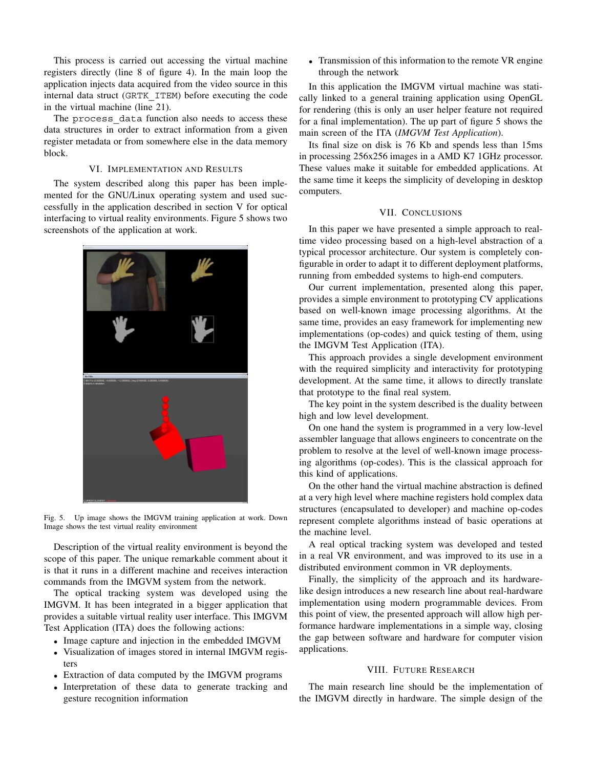This process is carried out accessing the virtual machine registers directly (line 8 of figure 4). In the main loop the application injects data acquired from the video source in this internal data struct (GRTK\_ITEM) before executing the code in the virtual machine (line 21).

The process data function also needs to access these data structures in order to extract information from a given register metadata or from somewhere else in the data memory block.

# VI. IMPLEMENTATION AND RESULTS

The system described along this paper has been implemented for the GNU/Linux operating system and used successfully in the application described in section V for optical interfacing to virtual reality environments. Figure 5 shows two screenshots of the application at work.



Fig. 5. Up image shows the IMGVM training application at work. Down Image shows the test virtual reality environment

Description of the virtual reality environment is beyond the scope of this paper. The unique remarkable comment about it is that it runs in a different machine and receives interaction commands from the IMGVM system from the network.

The optical tracking system was developed using the IMGVM. It has been integrated in a bigger application that provides a suitable virtual reality user interface. This IMGVM Test Application (ITA) does the following actions:

- *•* Image capture and injection in the embedded IMGVM
- *•* Visualization of images stored in internal IMGVM registers
- *•* Extraction of data computed by the IMGVM programs
- *•* Interpretation of these data to generate tracking and gesture recognition information

• Transmission of this information to the remote VR engine through the network

In this application the IMGVM virtual machine was statically linked to a general training application using OpenGL for rendering (this is only an user helper feature not required for a final implementation). The up part of figure 5 shows the main screen of the ITA (*IMGVM Test Application*).

Its final size on disk is 76 Kb and spends less than 15ms in processing 256x256 images in a AMD K7 1GHz processor. These values make it suitable for embedded applications. At the same time it keeps the simplicity of developing in desktop computers.

#### VII. CONCLUSIONS

In this paper we have presented a simple approach to realtime video processing based on a high-level abstraction of a typical processor architecture. Our system is completely configurable in order to adapt it to different deployment platforms, running from embedded systems to high-end computers.

Our current implementation, presented along this paper, provides a simple environment to prototyping CV applications based on well-known image processing algorithms. At the same time, provides an easy framework for implementing new implementations (op-codes) and quick testing of them, using the IMGVM Test Application (ITA).

This approach provides a single development environment with the required simplicity and interactivity for prototyping development. At the same time, it allows to directly translate that prototype to the final real system.

The key point in the system described is the duality between high and low level development.

On one hand the system is programmed in a very low-level assembler language that allows engineers to concentrate on the problem to resolve at the level of well-known image processing algorithms (op-codes). This is the classical approach for this kind of applications.

On the other hand the virtual machine abstraction is defined at a very high level where machine registers hold complex data structures (encapsulated to developer) and machine op-codes represent complete algorithms instead of basic operations at the machine level.

A real optical tracking system was developed and tested in a real VR environment, and was improved to its use in a distributed environment common in VR deployments.

Finally, the simplicity of the approach and its hardwarelike design introduces a new research line about real-hardware implementation using modern programmable devices. From this point of view, the presented approach will allow high performance hardware implementations in a simple way, closing the gap between software and hardware for computer vision applications.

# VIII. FUTURE RESEARCH

The main research line should be the implementation of the IMGVM directly in hardware. The simple design of the